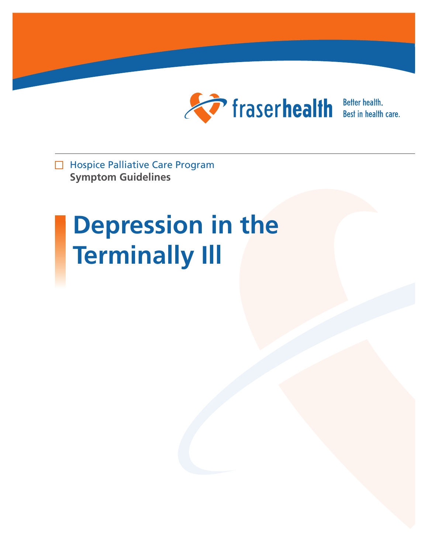

Better health.<br>Best in health care.

Hospice Palliative Care Program **Symptom Guidelines**

# **Depression in the Terminally Ill**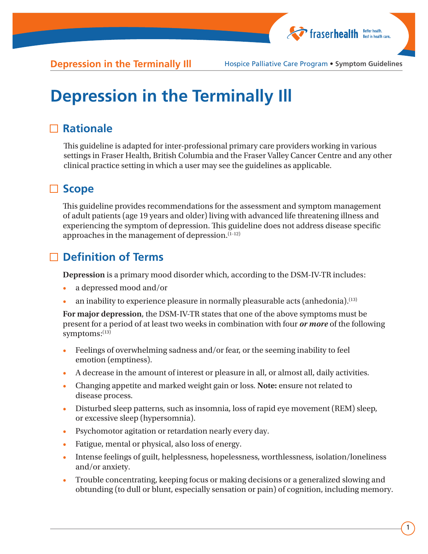

## **Depression in the Terminally Ill**

### **Rationale**

This guideline is adapted for inter-professional primary care providers working in various settings in Fraser Health, British Columbia and the Fraser Valley Cancer Centre and any other clinical practice setting in which a user may see the guidelines as applicable.

### **Scope**

This guideline provides recommendations for the assessment and symptom management of adult patients (age 19 years and older) living with advanced life threatening illness and experiencing the symptom of depression. This guideline does not address disease specific approaches in the management of depression. $(1-12)$ 

### **Definition of Terms**

**Depression** is a primary mood disorder which, according to the DSM-IV-TR includes:

- a depressed mood and/or
- an inability to experience pleasure in normally pleasurable acts (anhedonia).<sup>(13)</sup>

**For major depression**, the DSM-IV-TR states that one of the above symptoms must be present for a period of at least two weeks in combination with four *or more* of the following symptoms: $^{(13)}$ 

- Feelings of overwhelming sadness and/or fear, or the seeming inability to feel emotion (emptiness).
- A decrease in the amount of interest or pleasure in all, or almost all, daily activities.
- Changing appetite and marked weight gain or loss. **Note:** ensure not related to disease process.
- Disturbed sleep patterns, such as insomnia, loss of rapid eye movement (REM) sleep, or excessive sleep (hypersomnia).
- Psychomotor agitation or retardation nearly every day.
- Fatigue, mental or physical, also loss of energy.
- Intense feelings of guilt, helplessness, hopelessness, worthlessness, isolation/loneliness and/or anxiety.
- Trouble concentrating, keeping focus or making decisions or a generalized slowing and obtunding (to dull or blunt, especially sensation or pain) of cognition, including memory.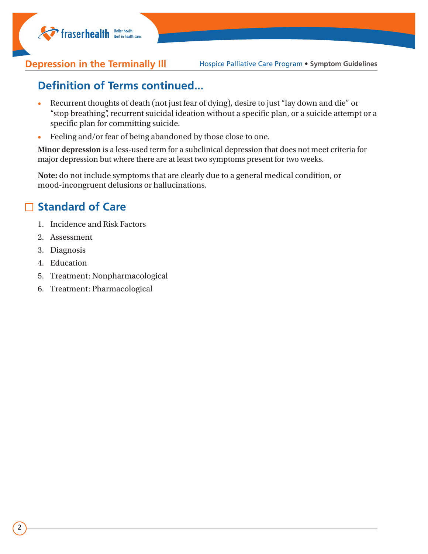

### **Definition of Terms continued...**

- Recurrent thoughts of death (not just fear of dying), desire to just "lay down and die" or "stop breathing", recurrent suicidal ideation without a specific plan, or a suicide attempt or a specific plan for committing suicide.
- Feeling and/or fear of being abandoned by those close to one.

**Minor depression** is a less-used term for a subclinical depression that does not meet criteria for major depression but where there are at least two symptoms present for two weeks.

**Note:** do not include symptoms that are clearly due to a general medical condition, or mood-incongruent delusions or hallucinations.

### **Standard of Care**

- 1. Incidence and Risk Factors
- 2. Assessment
- 3. Diagnosis
- 4. Education
- 5. Treatment: Nonpharmacological
- 6. Treatment: Pharmacological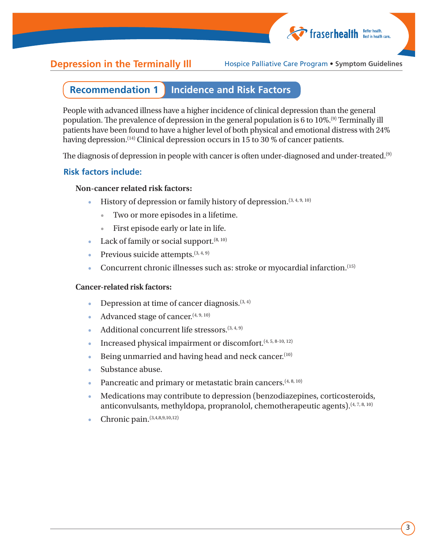

#### **Recommendation 1 Incidence and Risk Factors**

People with advanced illness have a higher incidence of clinical depression than the general population. The prevalence of depression in the general population is 6 to 10%.(9) Terminally ill patients have been found to have a higher level of both physical and emotional distress with 24% having depression.<sup>(14)</sup> Clinical depression occurs in 15 to 30 % of cancer patients.

The diagnosis of depression in people with cancer is often under-diagnosed and under-treated.<sup>(9)</sup>

#### **Risk factors include:**

#### **Non-cancer related risk factors:**

- History of depression or family history of depression. (3, 4, 9, 10)
	- Two or more episodes in a lifetime.
	- First episode early or late in life.
- Lack of family or social support.  $(8, 10)$
- Previous suicide attempts.  $(3, 4, 9)$
- Concurrent chronic illnesses such as: stroke or myocardial infarction.<sup>(15)</sup>

#### **Cancer-related risk factors:**

- Depression at time of cancer diagnosis. $(3, 4)$
- Advanced stage of cancer.  $(4, 9, 10)$
- Additional concurrent life stressors.  $(3, 4, 9)$
- Increased physical impairment or discomfort. $(4, 5, 8-10, 12)$
- Being unmarried and having head and neck cancer. $(10)$
- Substance abuse.
- Pancreatic and primary or metastatic brain cancers.<sup>(4, 8, 10)</sup>
- Medications may contribute to depression (benzodiazepines, corticosteroids, anticonvulsants, methyldopa, propranolol, chemotherapeutic agents). $(4, 7, 8, 10)$
- Chronic pain.(3,4,8,9,10,12)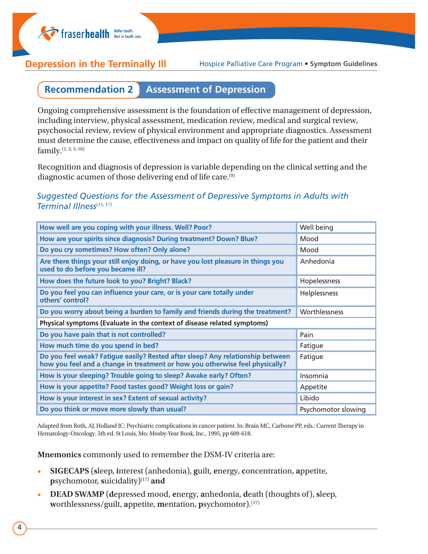

#### **Recommendation 2 Assessment of Depression**

Ongoing comprehensive assessment is the foundation of effective management of depression, including interview, physical assessment, medication review, medical and surgical review, psychosocial review, review of physical environment and appropriate diagnostics. Assessment must determine the cause, effectiveness and impact on quality of life for the patient and their family.(1, 2, 5, 16)

Recognition and diagnosis of depression is variable depending on the clinical setting and the diagnostic acumen of those delivering end of life care.<sup>(9)</sup>

#### *Suggested Questions for the Assessment of Depressive Symptoms in Adults with Terminal Illness*(15, 17)

| How well are you coping with your illness. Well? Poor?                                                                                                         | Well being          |
|----------------------------------------------------------------------------------------------------------------------------------------------------------------|---------------------|
| How are your spirits since diagnosis? During treatment? Down? Blue?                                                                                            | Mood                |
| Do you cry sometimes? How often? Only alone?                                                                                                                   | Mood                |
| Are there things your still enjoy doing, or have you lost pleasure in things you<br>used to do before you became ill?                                          | Anhedonia           |
| How does the future look to you? Bright? Black?                                                                                                                | Hopelessness        |
| Do you feel you can influence your care, or is your care totally under<br>others' control?                                                                     | Helplessness        |
| Do you worry about being a burden to family and friends during the treatment?                                                                                  | Worthlessness       |
| Physical symptoms (Evaluate in the context of disease related symptoms)                                                                                        |                     |
| Do you have pain that is not controlled?                                                                                                                       | Pain                |
| How much time do you spend in bed?                                                                                                                             | Fatigue             |
| Do you feel weak? Fatigue easily? Rested after sleep? Any relationship between<br>how you feel and a change in treatment or how you otherwise feel physically? | Fatigue             |
| How is your sleeping? Trouble going to sleep? Awake early? Often?                                                                                              | Insomnia            |
| How is your appetite? Food tastes good? Weight loss or gain?                                                                                                   | Appetite            |
| How is your interest in sex? Extent of sexual activity?                                                                                                        | Libido              |
| Do you think or move more slowly than usual?                                                                                                                   | Psychomotor slowing |

Adapted from Roth, AJ, Holland JC: Psychiatric complications in cancer patient. In: Brain MC, Carbone PP, eds.: Current Therapy in Hematology-Oncology. 5th ed. St Louis, Mo: Mosby-Year Book, Inc., 1995, pp 609-618.

**Mnemonics** commonly used to remember the DSM-IV criteria are:

- **SIGECAPS** (**s**leep, **i**nterest (anhedonia), **g**uilt, **e**nergy, **c**oncentration, **a**ppetite, **p**sychomotor, **s**uicidality)(17) **and**
- **DEAD SWAMP** (**d**epressed mood, **e**nergy, **a**nhedonia, **d**eath (thoughts of), **s**leep, **w**orthlessness/guilt, **a**ppetite, **m**entation, **p**sychomotor).(17)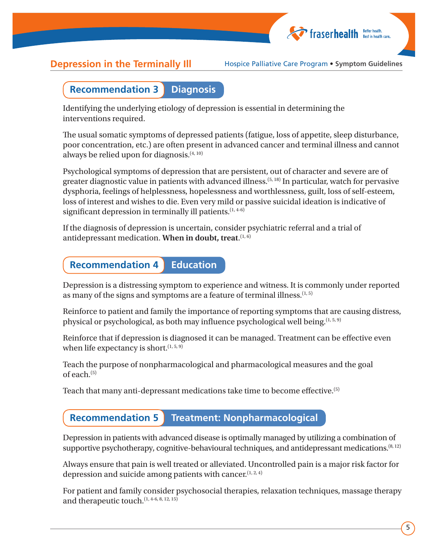

#### **Recommendation 3 Diagnosis**

Identifying the underlying etiology of depression is essential in determining the interventions required.

The usual somatic symptoms of depressed patients (fatigue, loss of appetite, sleep disturbance, poor concentration, etc.) are often present in advanced cancer and terminal illness and cannot always be relied upon for diagnosis.  $(4, 10)$ 

Psychological symptoms of depression that are persistent, out of character and severe are of greater diagnostic value in patients with advanced illness.(5, 18) In particular, watch for pervasive dysphoria, feelings of helplessness, hopelessness and worthlessness, guilt, loss of self-esteem, loss of interest and wishes to die. Even very mild or passive suicidal ideation is indicative of significant depression in terminally ill patients.  $(1, 4-6)$ 

If the diagnosis of depression is uncertain, consider psychiatric referral and a trial of antidepressant medication. **When in doubt, treat.**<sup>(1, 6)</sup>

#### **Recommendation 4 Education**

Depression is a distressing symptom to experience and witness. It is commonly under reported as many of the signs and symptoms are a feature of terminal illness.  $(1, 5)$ 

Reinforce to patient and family the importance of reporting symptoms that are causing distress, physical or psychological, as both may influence psychological well being.  $(1, 5, 9)$ 

Reinforce that if depression is diagnosed it can be managed. Treatment can be effective even when life expectancy is short.  $(1, 5, 9)$ 

Teach the purpose of nonpharmacological and pharmacological measures and the goal of each. $(5)$ 

Teach that many anti-depressant medications take time to become effective.(5)

### **Recommendation 5 Treatment: Nonpharmacological**

Depression in patients with advanced disease is optimally managed by utilizing a combination of supportive psychotherapy, cognitive-behavioural techniques, and antidepressant medications.  $(8, 12)$ 

Always ensure that pain is well treated or alleviated. Uncontrolled pain is a major risk factor for depression and suicide among patients with cancer.  $(1, 2, 4)$ 

For patient and family consider psychosocial therapies, relaxation techniques, massage therapy and therapeutic touch.<sup>(1, 4-6, 8, 12, 15)</sup>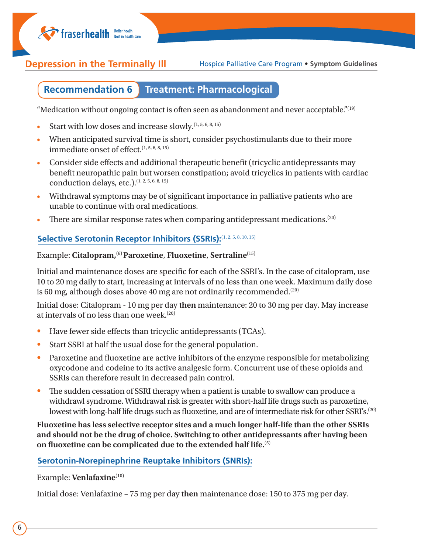**Thaserhealth** Better health.

**Depression in the Terminally III** Hospice Palliative Care Program • Symptom Guidelines

#### **Recommendation 6 Treatment: Pharmacological**

"Medication without ongoing contact is often seen as abandonment and never acceptable." $(19)$ 

- Start with low doses and increase slowly.  $(1, 5, 6, 8, 15)$
- When anticipated survival time is short, consider psychostimulants due to their more immediate onset of effect.<sup>(1, 5, 6, 8, 15)</sup>
- Consider side effects and additional therapeutic benefit (tricyclic antidepressants may benefit neuropathic pain but worsen constipation; avoid tricyclics in patients with cardiac conduction delays, etc.).<sup>(1, 2, 5, 6, 8, 15)</sup>
- Withdrawal symptoms may be of significant importance in palliative patients who are unable to continue with oral medications.
- There are similar response rates when comparing antidepressant medications.<sup>(20)</sup>

#### Selective Serotonin Receptor Inhibitors (SSRIs):(1, 2, 5, 8, 10, 15)

### Example: **Citalopram,**(6) **Paroxetine**, **Fluoxetine**, **Sertraline**(15)

Initial and maintenance doses are specific for each of the SSRI's. In the case of citalopram, use 10 to 20 mg daily to start, increasing at intervals of no less than one week. Maximum daily dose is 60 mg, although doses above 40 mg are not ordinarily recommended.<sup>(20)</sup>

Initial dose: Citalopram - 10 mg per day **then** maintenance: 20 to 30 mg per day. May increase at intervals of no less than one week.<sup>(20)</sup>

- Have fewer side effects than tricyclic antidepressants (TCAs).
- Start SSRI at half the usual dose for the general population.
- Paroxetine and fluoxetine are active inhibitors of the enzyme responsible for metabolizing oxycodone and codeine to its active analgesic form. Concurrent use of these opioids and SSRIs can therefore result in decreased pain control.
- The sudden cessation of SSRI therapy when a patient is unable to swallow can produce a withdrawl syndrome. Withdrawal risk is greater with short-half life drugs such as paroxetine, lowest with long-half life drugs such as fluoxetine, and are of intermediate risk for other SSRI's.<sup>(20)</sup>

**Fluoxetine has less selective receptor sites and a much longer half-life than the other SSRIs and should not be the drug of choice. Switching to other antidepressants after having been on fluoxetine can be complicated due to the extended half life.**(5)

#### **Serotonin-Norepinephrine Reuptake Inhibitors (SNRIs):**

Example: **Venlafaxine**(10)

Initial dose: Venlafaxine – 75 mg per day **then** maintenance dose: 150 to 375 mg per day.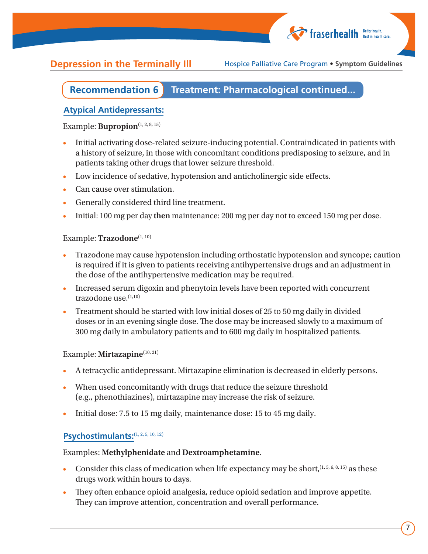

#### **Recommendation 6 Treatment: Pharmacological continued...**

#### **Atypical Antidepressants:**

#### Example: **Bupropion**<sup>(1, 2, 8, 15)</sup>

- Initial activating dose-related seizure-inducing potential. Contraindicated in patients with a history of seizure, in those with concomitant conditions predisposing to seizure, and in patients taking other drugs that lower seizure threshold.
- Low incidence of sedative, hypotension and anticholinergic side effects.
- Can cause over stimulation.
- Generally considered third line treatment.
- Initial: 100 mg per day **then** maintenance: 200 mg per day not to exceed 150 mg per dose.

#### Example: **Trazodone**(1, 10)

- Trazodone may cause hypotension including orthostatic hypotension and syncope; caution is required if it is given to patients receiving antihypertensive drugs and an adjustment in the dose of the antihypertensive medication may be required.
- Increased serum digoxin and phenytoin levels have been reported with concurrent trazodone use. $(1,10)$
- Treatment should be started with low initial doses of 25 to 50 mg daily in divided doses or in an evening single dose. The dose may be increased slowly to a maximum of 300 mg daily in ambulatory patients and to 600 mg daily in hospitalized patients.

#### Example: **Mirtazapine**(10, 21)

- A tetracyclic antidepressant. Mirtazapine elimination is decreased in elderly persons.
- When used concomitantly with drugs that reduce the seizure threshold (e.g., phenothiazines), mirtazapine may increase the risk of seizure.
- Initial dose: 7.5 to 15 mg daily, maintenance dose: 15 to 45 mg daily.

#### Psychostimulants:<sup>(1, 2, 5, 10, 12)</sup>

#### Examples: **Methylphenidate** and **Dextroamphetamine**.

- Consider this class of medication when life expectancy may be short,  $(1, 5, 6, 8, 15)$  as these drugs work within hours to days.
- They often enhance opioid analgesia, reduce opioid sedation and improve appetite. They can improve attention, concentration and overall performance.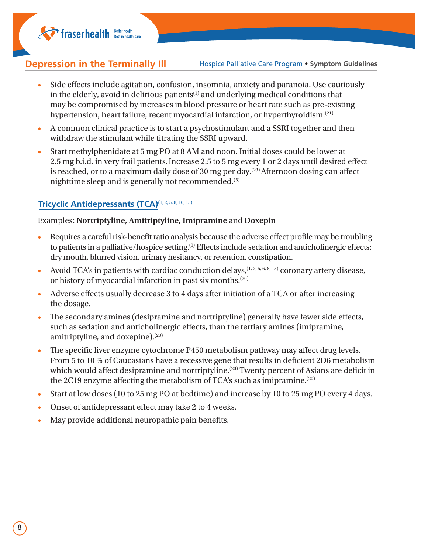**helter health** Best in health.

**Depression in the Terminally III** Hospice Palliative Care Program • Symptom Guidelines

- Side effects include agitation, confusion, insomnia, anxiety and paranoia. Use cautiously in the elderly, avoid in delirious patients<sup>(1)</sup> and underlying medical conditions that may be compromised by increases in blood pressure or heart rate such as pre-existing hypertension, heart failure, recent myocardial infarction, or hyperthyroidism.<sup>(21)</sup>
- A common clinical practice is to start a psychostimulant and a SSRI together and then withdraw the stimulant while titrating the SSRI upward.
- Start methylphenidate at 5 mg PO at 8 AM and noon. Initial doses could be lower at 2.5 mg b.i.d. in very frail patients.Increase 2.5 to 5 mg every 1 or 2 days until desired effect is reached, or to a maximum daily dose of 30 mg per day.<sup>(23)</sup> Afternoon dosing can affect nighttime sleep and is generally not recommended.(5)

#### **Tricyclic Antidepressants (TCA)**(1, 2, 5, 8, 10, 15)

#### Examples: **Nortriptyline, Amitriptyline, Imipramine** and **Doxepin**

- Requires a careful risk-benefit ratio analysis because the adverse effect profile may be troubling to patients in a palliative/hospice setting.(1) Effects include sedation and anticholinergic effects; dry mouth, blurred vision, urinary hesitancy, or retention, constipation.
- Avoid TCA's in patients with cardiac conduction delays,  $(1, 2, 5, 6, 8, 15)$  coronary artery disease, or history of myocardial infarction in past six months.(20)
- Adverse effects usually decrease 3 to 4 days after initiation of a TCA or after increasing the dosage.
- The secondary amines (desipramine and nortriptyline) generally have fewer side effects, such as sedation and anticholinergic effects, than the tertiary amines (imipramine, amitriptyline, and doxepine).(23)
- The specific liver enzyme cytochrome P450 metabolism pathway may affect drug levels. From 5 to 10 % of Caucasians have a recessive gene that results in deficient 2D6 metabolism which would affect desipramine and nortriptyline.<sup>(20)</sup> Twenty percent of Asians are deficit in the 2C19 enzyme affecting the metabolism of TCA's such as imipramine.(20)
- Start at low doses (10 to 25 mg PO at bedtime) and increase by 10 to 25 mg PO every 4 days.
- Onset of antidepressant effect may take 2 to 4 weeks.
- May provide additional neuropathic pain benefits.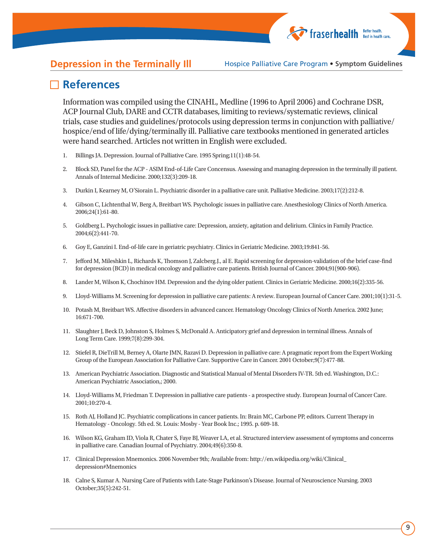### **References**

Information was compiled using the CINAHL, Medline (1996 to April 2006) and Cochrane DSR, ACP Journal Club, DARE and CCTR databases, limiting to reviews/systematic reviews, clinical trials, case studies and guidelines/protocols using depression terms in conjunction with palliative/ hospice/end of life/dying/terminally ill. Palliative care textbooks mentioned in generated articles were hand searched. Articles not written in English were excluded.

- 1. Billings JA. Depression. Journal of Palliative Care. 1995 Spring;11(1):48-54.
- 2. Block SD, Panel for the ACP ASIM End-of-Life Care Concensus. Assessing and managing depression in the terminally ill patient. Annals of Internal Medicine. 2000;132(3):209-18.
- 3. Durkin I, Kearney M, O'Siorain L. Psychiatric disorder in a palliative care unit. Palliative Medicine. 2003;17(2):212-8.
- 4. Gibson C, Lichtenthal W, Berg A, Breitbart WS. Psychologic issues in palliative care. Anesthesiology Clinics of North America. 2006;24(1):61-80.
- 5. Goldberg L. Psychologic issues in palliative care: Depression, anxiety, agitation and delirium. Clinics in Family Practice. 2004;6(2):441-70.
- 6. Goy E, Ganzini I. End-of-life care in geriatric psychiatry. Clinics in Geriatric Medicine. 2003;19:841-56.
- 7. Jefford M, Mileshkin L, Richards K, Thomson J, Zalcberg.J., al E. Rapid screening for depression-validation of the brief case-find for depression (BCD) in medical oncology and palliative care patients. British Journal of Cancer. 2004;91(900-906).
- 8. Lander M, Wilson K, Chochinov HM. Depression and the dying older patient. Clinics in Geriatric Medicine. 2000;16(2):335-56.
- 9. Lloyd-Williams M. Screening for depression in palliative care patients: A review. European Journal of Cancer Care. 2001;10(1):31-5.
- 10. Potash M, Breitbart WS. Affective disorders in advanced cancer. Hematology Oncology Clinics of North America. 2002 June; 16:671-700.
- 11. Slaughter J, Beck D, Johnston S, Holmes S, McDonald A. Anticipatory grief and depression in terminal illness. Annals of Long Term Care. 1999;7(8):299-304.
- 12. Stiefel R, DieTrill M, Berney A, Olarte JMN, Razavi D. Depression in palliative care: A pragmatic report from the Expert Working Group of the European Association for Palliative Care. Supportive Care in Cancer. 2001 October;9(7):477-88.
- 13. American Psychiatric Association. Diagnostic and Statistical Manual of Mental Disorders IV-TR. 5th ed. Washington, D.C.: American Psychiatric Association,; 2000.
- 14. Lloyd-Williams M, Friedman T. Depression in palliative care patients a prospective study. European Journal of Cancer Care. 2001;10:270-4.
- 15. Roth AJ, Holland JC. Psychiatric complications in cancer patients. In: Brain MC, Carbone PP, editors. Current Therapy in Hematology - Oncology. 5th ed. St. Louis: Mosby - Year Book Inc.; 1995. p. 609-18.
- 16. Wilson KG, Graham ID, Viola R, Chater S, Faye BJ, Weaver LA, et al. Structured interview assessment of symptoms and concerns in palliative care. Canadian Journal of Psychiatry. 2004;49(6):350-8.
- 17. Clinical Depression Mnemonics. 2006 November 9th; Available from: http://en.wikipedia.org/wiki/Clinical\_ depression#Mnemonics
- 18. Calne S, Kumar A. Nursing Care of Patients with Late-Stage Parkinson's Disease. Journal of Neuroscience Nursing. 2003 October;35(5):242-51.